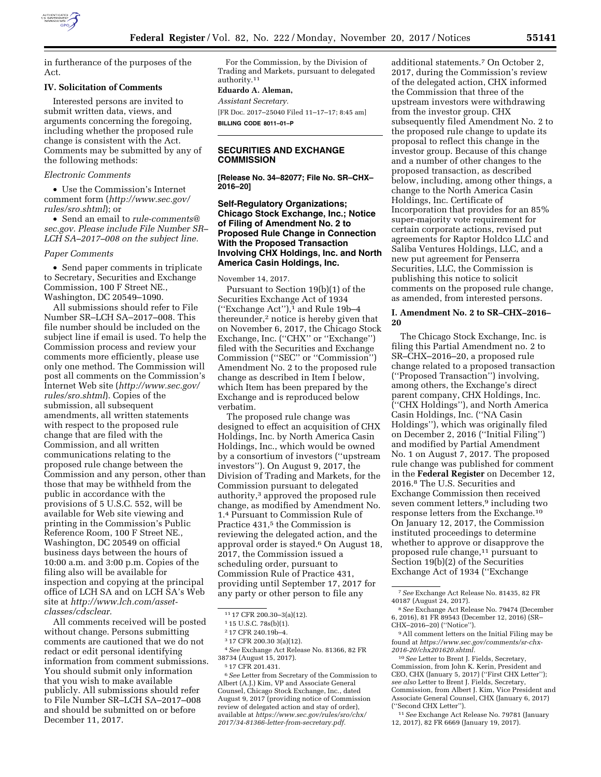

in furtherance of the purposes of the Act.

### **IV. Solicitation of Comments**

Interested persons are invited to submit written data, views, and arguments concerning the foregoing, including whether the proposed rule change is consistent with the Act. Comments may be submitted by any of the following methods:

#### *Electronic Comments*

• Use the Commission's Internet comment form (*[http://www.sec.gov/](http://www.sec.gov/rules/sro.shtml)  [rules/sro.shtml](http://www.sec.gov/rules/sro.shtml)*); or

• Send an email to *[rule-comments@](mailto:rule-comments@sec.gov) [sec.gov.](mailto:rule-comments@sec.gov) Please include File Number SR– LCH SA–2017–008 on the subject line.* 

### *Paper Comments*

• Send paper comments in triplicate to Secretary, Securities and Exchange Commission, 100 F Street NE., Washington, DC 20549–1090.

All submissions should refer to File Number SR–LCH SA–2017–008. This file number should be included on the subject line if email is used. To help the Commission process and review your comments more efficiently, please use only one method. The Commission will post all comments on the Commission's Internet Web site (*[http://www.sec.gov/](http://www.sec.gov/rules/sro.shtml)  [rules/sro.shtml](http://www.sec.gov/rules/sro.shtml)*). Copies of the submission, all subsequent amendments, all written statements with respect to the proposed rule change that are filed with the Commission, and all written communications relating to the proposed rule change between the Commission and any person, other than those that may be withheld from the public in accordance with the provisions of 5 U.S.C. 552, will be available for Web site viewing and printing in the Commission's Public Reference Room, 100 F Street NE., Washington, DC 20549 on official business days between the hours of 10:00 a.m. and 3:00 p.m. Copies of the filing also will be available for inspection and copying at the principal office of LCH SA and on LCH SA's Web site at *[http://www.lch.com/asset](http://www.lch.com/asset-classes/cdsclear)[classes/cdsclear.](http://www.lch.com/asset-classes/cdsclear)* 

All comments received will be posted without change. Persons submitting comments are cautioned that we do not redact or edit personal identifying information from comment submissions. You should submit only information that you wish to make available publicly. All submissions should refer to File Number SR–LCH SA–2017–008 and should be submitted on or before December 11, 2017.

For the Commission, by the Division of Trading and Markets, pursuant to delegated authority.11

#### **Eduardo A. Aleman,**

*Assistant Secretary.*  [FR Doc. 2017–25040 Filed 11–17–17; 8:45 am] **BILLING CODE 8011–01–P** 

## **SECURITIES AND EXCHANGE COMMISSION**

**[Release No. 34–82077; File No. SR–CHX– 2016–20]** 

## **Self-Regulatory Organizations; Chicago Stock Exchange, Inc.; Notice of Filing of Amendment No. 2 to Proposed Rule Change in Connection With the Proposed Transaction Involving CHX Holdings, Inc. and North America Casin Holdings, Inc.**

November 14, 2017.

Pursuant to Section 19(b)(1) of the Securities Exchange Act of 1934 (''Exchange Act''),1 and Rule 19b–4 thereunder,<sup>2</sup> notice is hereby given that on November 6, 2017, the Chicago Stock Exchange, Inc. ("CHX" or "Exchange") filed with the Securities and Exchange Commission (''SEC'' or ''Commission'') Amendment No. 2 to the proposed rule change as described in Item I below, which Item has been prepared by the Exchange and is reproduced below verbatim.

The proposed rule change was designed to effect an acquisition of CHX Holdings, Inc. by North America Casin Holdings, Inc., which would be owned by a consortium of investors (''upstream investors''). On August 9, 2017, the Division of Trading and Markets, for the Commission pursuant to delegated authority,3 approved the proposed rule change, as modified by Amendment No. 1.4 Pursuant to Commission Rule of Practice 431,<sup>5</sup> the Commission is reviewing the delegated action, and the approval order is stayed.6 On August 18, 2017, the Commission issued a scheduling order, pursuant to Commission Rule of Practice 431, providing until September 17, 2017 for any party or other person to file any

4*See* Exchange Act Release No. 81366, 82 FR 38734 (August 15, 2017).

6*See* Letter from Secretary of the Commission to Albert (A.J.) Kim, VP and Associate General Counsel, Chicago Stock Exchange, Inc., dated August 9, 2017 (providing notice of Commission review of delegated action and stay of order), available at *[https://www.sec.gov/rules/sro/chx/](https://www.sec.gov/rules/sro/chx/2017/34-81366-letter-from-secretary.pdf) [2017/34-81366-letter-from-secretary.pdf.](https://www.sec.gov/rules/sro/chx/2017/34-81366-letter-from-secretary.pdf)* 

additional statements.7 On October 2, 2017, during the Commission's review of the delegated action, CHX informed the Commission that three of the upstream investors were withdrawing from the investor group. CHX subsequently filed Amendment No. 2 to the proposed rule change to update its proposal to reflect this change in the investor group. Because of this change and a number of other changes to the proposed transaction, as described below, including, among other things, a change to the North America Casin Holdings, Inc. Certificate of Incorporation that provides for an 85% super-majority vote requirement for certain corporate actions, revised put agreements for Raptor Holdco LLC and Saliba Ventures Holdings, LLC, and a new put agreement for Penserra Securities, LLC, the Commission is publishing this notice to solicit comments on the proposed rule change, as amended, from interested persons.

## **I. Amendment No. 2 to SR–CHX–2016– 20**

The Chicago Stock Exchange, Inc. is filing this Partial Amendment no. 2 to SR–CHX–2016–20, a proposed rule change related to a proposed transaction (''Proposed Transaction'') involving, among others, the Exchange's direct parent company, CHX Holdings, Inc. (''CHX Holdings''), and North America Casin Holdings, Inc. (''NA Casin Holdings''), which was originally filed on December 2, 2016 (''Initial Filing'') and modified by Partial Amendment No. 1 on August 7, 2017. The proposed rule change was published for comment in the **Federal Register** on December 12, 2016.8 The U.S. Securities and Exchange Commission then received seven comment letters,9 including two response letters from the Exchange.10 On January 12, 2017, the Commission instituted proceedings to determine whether to approve or disapprove the proposed rule change,<sup>11</sup> pursuant to Section 19(b)(2) of the Securities Exchange Act of 1934 (''Exchange

<sup>11</sup> 17 CFR 200.30–3(a)(12).

<sup>1</sup> 15 U.S.C. 78s(b)(1).

<sup>2</sup> 17 CFR 240.19b–4.

<sup>3</sup> 17 CFR 200.30 3(a)(12).

<sup>5</sup> 17 CFR 201.431.

<sup>7</sup>*See* Exchange Act Release No. 81435, 82 FR 40187 (August 24, 2017).

<sup>8</sup>*See* Exchange Act Release No. 79474 (December 6, 2016), 81 FR 89543 (December 12, 2016) (SR– CHX–2016–20) (''Notice'').

<sup>9</sup>All comment letters on the Initial Filing may be found at *[https://www.sec.gov/comments/sr-chx-](https://www.sec.gov/comments/sr-chx-2016-20/chx201620.shtml)[2016-20/chx201620.shtml.](https://www.sec.gov/comments/sr-chx-2016-20/chx201620.shtml)* 

<sup>10</sup>*See* Letter to Brent J. Fields, Secretary, Commission, from John K. Kerin, President and CEO, CHX (January 5, 2017) (''First CHX Letter''); *see also* Letter to Brent J. Fields, Secretary, Commission, from Albert J. Kim, Vice President and Associate General Counsel, CHX (January 6, 2017) (''Second CHX Letter'').

<sup>11</sup>*See* Exchange Act Release No. 79781 (January 12, 2017), 82 FR 6669 (January 19, 2017).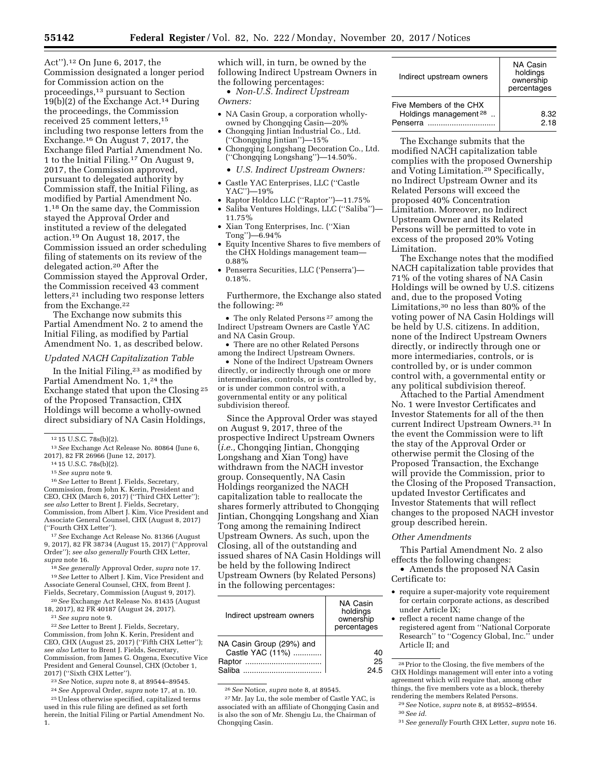Act'').12 On June 6, 2017, the Commission designated a longer period for Commission action on the proceedings,13 pursuant to Section 19(b)(2) of the Exchange Act.14 During the proceedings, the Commission received 25 comment letters,15 including two response letters from the Exchange.16 On August 7, 2017, the Exchange filed Partial Amendment No. 1 to the Initial Filing.17 On August 9, 2017, the Commission approved, pursuant to delegated authority by Commission staff, the Initial Filing, as modified by Partial Amendment No. 1.18 On the same day, the Commission stayed the Approval Order and instituted a review of the delegated action.19 On August 18, 2017, the Commission issued an order scheduling filing of statements on its review of the delegated action.20 After the Commission stayed the Approval Order, the Commission received 43 comment letters,21 including two response letters from the Exchange.<sup>22</sup>

The Exchange now submits this Partial Amendment No. 2 to amend the Initial Filing, as modified by Partial Amendment No. 1, as described below.

#### *Updated NACH Capitalization Table*

In the Initial Filing,23 as modified by Partial Amendment No. 1,24 the Exchange stated that upon the Closing 25 of the Proposed Transaction, CHX Holdings will become a wholly-owned direct subsidiary of NA Casin Holdings,

<sup>12</sup> 15 U.S.C. 78s(b)(2). 13*See* Exchange Act Release No. 80864 (June 6,

<sup>14</sup> 15 U.S.C. 78s(b)(2).<br><sup>15</sup> *See supra* note 9.<br><sup>16</sup> *See* Letter to Brent J. Fields, Secretary, Commission, from John K. Kerin, President and CEO, CHX (March 6, 2017) (''Third CHX Letter''); *see also* Letter to Brent J. Fields, Secretary, Commission, from Albert J. Kim, Vice President and Associate General Counsel, CHX (August 8, 2017) (''Fourth CHX Letter'').

17*See* Exchange Act Release No. 81366 (August 9, 2017), 82 FR 38734 (August 15, 2017) (''Approval Order''); *see also generally* Fourth CHX Letter, *supra* note 16.

18*See generally* Approval Order, *supra* note 17. 19*See* Letter to Albert J. Kim, Vice President and Associate General Counsel, CHX, from Brent J. Fields, Secretary, Commission (August 9, 2017).

20*See* Exchange Act Release No. 81435 (August 18, 2017), 82 FR 40187 (August 24, 2017).

21*See supra* note 9.

22*See* Letter to Brent J. Fields, Secretary, Commission, from John K. Kerin, President and CEO, CHX (August 25, 2017) (''Fifth CHX Letter''); *see also* Letter to Brent J. Fields, Secretary, Commission, from James G. Ongena, Executive Vice President and General Counsel, CHX (October 1, 2017) (''Sixth CHX Letter'').

23*See* Notice, *supra* note 8, at 89544–89545.

24*See* Approval Order, *supra* note 17, at n. 10. 25Unless otherwise specified, capitalized terms used in this rule filing are defined as set forth herein, the Initial Filing or Partial Amendment No. 1.

which will, in turn, be owned by the following Indirect Upstream Owners in the following percentages:

• *Non-U.S. Indirect Upstream Owners:* 

- NA Casin Group, a corporation whollyowned by Chongqing Casin—20%
- Chongqing Jintian Industrial Co., Ltd. (''Chongqing Jintian'')—15%
- Chongqing Longshang Decoration Co., Ltd. (''Chongqing Longshang'')—14.50%.
	- *U.S. Indirect Upstream Owners:*
- Castle YAC Enterprises, LLC (''Castle YAC'')—19%
- Raptor Holdco LLC (''Raptor'')—11.75%
- Saliba Ventures Holdings, LLC (''Saliba'')— 11.75%
- Xian Tong Enterprises, Inc. (''Xian Tong'')—6.94%
- Equity Incentive Shares to five members of the CHX Holdings management team— 0.88%
- Penserra Securities, LLC ('Penserra')— 0.18%.

Furthermore, the Exchange also stated the following: 26

• The only Related Persons 27 among the Indirect Upstream Owners are Castle YAC and NA Casin Group.

• There are no other Related Persons among the Indirect Upstream Owners.

• None of the Indirect Upstream Owners directly, or indirectly through one or more intermediaries, controls, or is controlled by, or is under common control with, a governmental entity or any political subdivision thereof.

Since the Approval Order was stayed on August 9, 2017, three of the prospective Indirect Upstream Owners (*i.e.,* Chongqing Jintian, Chongqing Longshang and Xian Tong) have withdrawn from the NACH investor group. Consequently, NA Casin Holdings reorganized the NACH capitalization table to reallocate the shares formerly attributed to Chongqing Jintian, Chongqing Longshang and Xian Tong among the remaining Indirect Upstream Owners. As such, upon the Closing, all of the outstanding and issued shares of NA Casin Holdings will be held by the following Indirect Upstream Owners (by Related Persons) in the following percentages:

| Indirect upstream owners                                         | NA Casin<br>holdings<br>ownership<br>percentages |
|------------------------------------------------------------------|--------------------------------------------------|
| NA Casin Group (29%) and<br>Castle YAC (11%)<br>Raptor<br>Saliha | 40<br>25<br>24.5                                 |

26*See* Notice, *supra* note 8, at 89545.

27Mr. Jay Lu, the sole member of Castle YAC, is associated with an affiliate of Chongqing Casin and is also the son of Mr. Shengju Lu, the Chairman of Chongqing Casin.

| Indirect upstream owners                                                 | NA Casin<br>holdings<br>ownership<br>percentages |
|--------------------------------------------------------------------------|--------------------------------------------------|
| Five Members of the CHX<br>Holdings management <sup>28</sup><br>Penserra | 8.32<br>2 18                                     |

The Exchange submits that the modified NACH capitalization table complies with the proposed Ownership and Voting Limitation.29 Specifically, no Indirect Upstream Owner and its Related Persons will exceed the proposed 40% Concentration Limitation. Moreover, no Indirect Upstream Owner and its Related Persons will be permitted to vote in excess of the proposed 20% Voting Limitation.

The Exchange notes that the modified NACH capitalization table provides that 71% of the voting shares of NA Casin Holdings will be owned by U.S. citizens and, due to the proposed Voting Limitations,30 no less than 80% of the voting power of NA Casin Holdings will be held by U.S. citizens. In addition, none of the Indirect Upstream Owners directly, or indirectly through one or more intermediaries, controls, or is controlled by, or is under common control with, a governmental entity or any political subdivision thereof.

Attached to the Partial Amendment No. 1 were Investor Certificates and Investor Statements for all of the then current Indirect Upstream Owners.31 In the event the Commission were to lift the stay of the Approval Order or otherwise permit the Closing of the Proposed Transaction, the Exchange will provide the Commission, prior to the Closing of the Proposed Transaction, updated Investor Certificates and Investor Statements that will reflect changes to the proposed NACH investor group described herein.

#### *Other Amendments*

This Partial Amendment No. 2 also effects the following changes:

• Amends the proposed NA Casin Certificate to:

- require a super-majority vote requirement for certain corporate actions, as described under Article IX;
- reflect a recent name change of the registered agent from ''National Corporate Research'' to ''Cogency Global, Inc.'' under Article II; and

28Prior to the Closing, the five members of the CHX Holdings management will enter into a voting agreement which will require that, among other things, the five members vote as a block, thereby rendering the members Related Persons.

<sup>29</sup>*See* Notice, *supra* note 8, at 89552–89554. 30*See id.* 

<sup>31</sup>*See generally* Fourth CHX Letter, *supra* note 16.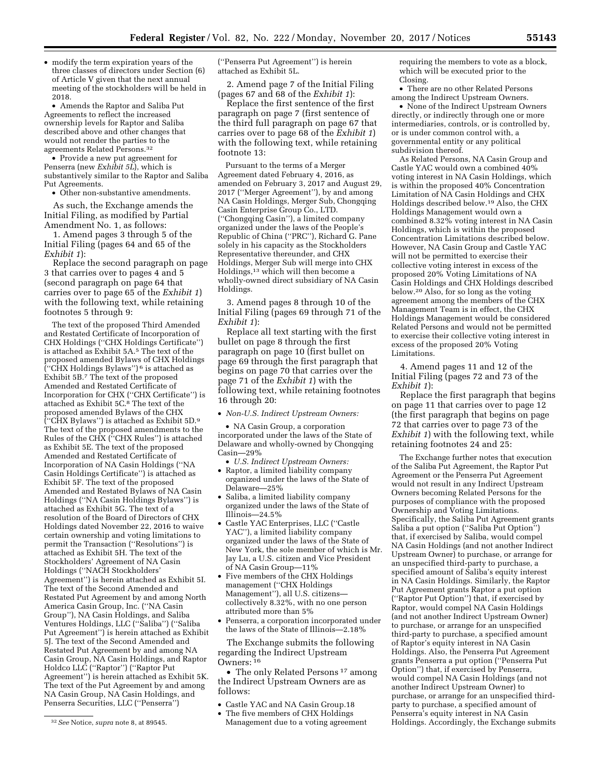• modify the term expiration years of the three classes of directors under Section (6) of Article V given that the next annual meeting of the stockholders will be held in 2018.

• Amends the Raptor and Saliba Put Agreements to reflect the increased ownership levels for Raptor and Saliba described above and other changes that would not render the parties to the agreements Related Persons.32

• Provide a new put agreement for Penserra (new *Exhibit 5L*), which is substantively similar to the Raptor and Saliba Put Agreements.

• Other non-substantive amendments.

As such, the Exchange amends the Initial Filing, as modified by Partial Amendment No. 1, as follows:

1. Amend pages 3 through 5 of the Initial Filing (pages 64 and 65 of the *Exhibit 1*):

Replace the second paragraph on page 3 that carries over to pages 4 and 5 (second paragraph on page 64 that carries over to page 65 of the *Exhibit 1*) with the following text, while retaining footnotes 5 through 9:

The text of the proposed Third Amended and Restated Certificate of Incorporation of CHX Holdings (''CHX Holdings Certificate'') is attached as Exhibit 5A.5 The text of the proposed amended Bylaws of CHX Holdings (''CHX Holdings Bylaws'') 6 is attached as Exhibit 5B.7 The text of the proposed Amended and Restated Certificate of Incorporation for CHX (''CHX Certificate'') is attached as Exhibit 5C.8 The text of the proposed amended Bylaws of the CHX (''CHX Bylaws'') is attached as Exhibit 5D.9 The text of the proposed amendments to the Rules of the CHX (''CHX Rules'') is attached as Exhibit 5E. The text of the proposed Amended and Restated Certificate of Incorporation of NA Casin Holdings (''NA Casin Holdings Certificate'') is attached as Exhibit 5F. The text of the proposed Amended and Restated Bylaws of NA Casin Holdings (''NA Casin Holdings Bylaws'') is attached as Exhibit 5G. The text of a resolution of the Board of Directors of CHX Holdings dated November 22, 2016 to waive certain ownership and voting limitations to permit the Transaction (''Resolutions'') is attached as Exhibit 5H. The text of the Stockholders' Agreement of NA Casin Holdings (''NACH Stockholders' Agreement'') is herein attached as Exhibit 5I. The text of the Second Amended and Restated Put Agreement by and among North America Casin Group, Inc. (''NA Casin Group''), NA Casin Holdings, and Saliba Ventures Holdings, LLC (''Saliba'') (''Saliba Put Agreement'') is herein attached as Exhibit 5J. The text of the Second Amended and Restated Put Agreement by and among NA Casin Group, NA Casin Holdings, and Raptor Holdco LLC (''Raptor'') (''Raptor Put Agreement'') is herein attached as Exhibit 5K. The text of the Put Agreement by and among NA Casin Group, NA Casin Holdings, and Penserra Securities, LLC (''Penserra'')

(''Penserra Put Agreement'') is herein attached as Exhibit 5L.

2. Amend page 7 of the Initial Filing (pages 67 and 68 of the *Exhibit 1*):

Replace the first sentence of the first paragraph on page 7 (first sentence of the third full paragraph on page 67 that carries over to page 68 of the *Exhibit 1*) with the following text, while retaining footnote 13:

Pursuant to the terms of a Merger Agreement dated February 4, 2016, as amended on February 3, 2017 and August 29, 2017 (''Merger Agreement''), by and among NA Casin Holdings, Merger Sub, Chongqing Casin Enterprise Group Co., LTD. (''Chongqing Casin''), a limited company organized under the laws of the People's Republic of China (''PRC''), Richard G. Pane solely in his capacity as the Stockholders Representative thereunder, and CHX Holdings, Merger Sub will merge into CHX Holdings,<sup>13</sup> which will then become a wholly-owned direct subsidiary of NA Casin Holdings.

3. Amend pages 8 through 10 of the Initial Filing (pages 69 through 71 of the *Exhibit 1*):

Replace all text starting with the first bullet on page 8 through the first paragraph on page 10 (first bullet on page 69 through the first paragraph that begins on page 70 that carries over the page 71 of the *Exhibit 1*) with the following text, while retaining footnotes 16 through 20:

• *Non-U.S. Indirect Upstream Owners:* 

• NA Casin Group, a corporation incorporated under the laws of the State of Delaware and wholly-owned by Chongqing Casin—29%

• *U.S. Indirect Upstream Owners:* 

- Raptor, a limited liability company organized under the laws of the State of Delaware—25%
- Saliba, a limited liability company organized under the laws of the State of Illinois—24.5%
- Castle YAC Enterprises, LLC (''Castle YAC''), a limited liability company organized under the laws of the State of New York, the sole member of which is Mr. Jay Lu, a U.S. citizen and Vice President of NA Casin Group—11%
- Five members of the CHX Holdings management (''CHX Holdings Management''), all U.S. citizens collectively 8.32%, with no one person attributed more than 5%
- Penserra, a corporation incorporated under the laws of the State of Illinois—2.18%

The Exchange submits the following regarding the Indirect Upstream Owners: 16

• The only Related Persons<sup>17</sup> among the Indirect Upstream Owners are as follows:

- Castle YAC and NA Casin Group.18
- The five members of CHX Holdings Management due to a voting agreement

requiring the members to vote as a block, which will be executed prior to the Closing.

• There are no other Related Persons among the Indirect Upstream Owners.

• None of the Indirect Upstream Owners directly, or indirectly through one or more intermediaries, controls, or is controlled by, or is under common control with, a governmental entity or any political subdivision thereof.

As Related Persons, NA Casin Group and Castle YAC would own a combined 40% voting interest in NA Casin Holdings, which is within the proposed 40% Concentration Limitation of NA Casin Holdings and CHX Holdings described below.19 Also, the CHX Holdings Management would own a combined 8.32% voting interest in NA Casin Holdings, which is within the proposed Concentration Limitations described below. However, NA Casin Group and Castle YAC will not be permitted to exercise their collective voting interest in excess of the proposed 20% Voting Limitations of NA Casin Holdings and CHX Holdings described below.20 Also, for so long as the voting agreement among the members of the CHX Management Team is in effect, the CHX Holdings Management would be considered Related Persons and would not be permitted to exercise their collective voting interest in excess of the proposed 20% Voting Limitations.

4. Amend pages 11 and 12 of the Initial Filing (pages 72 and 73 of the *Exhibit 1*):

Replace the first paragraph that begins on page 11 that carries over to page 12 (the first paragraph that begins on page 72 that carries over to page 73 of the *Exhibit 1*) with the following text, while retaining footnotes 24 and 25:

The Exchange further notes that execution of the Saliba Put Agreement, the Raptor Put Agreement or the Penserra Put Agreement would not result in any Indirect Upstream Owners becoming Related Persons for the purposes of compliance with the proposed Ownership and Voting Limitations. Specifically, the Saliba Put Agreement grants Saliba a put option ("Saliba Put Option") that, if exercised by Saliba, would compel NA Casin Holdings (and not another Indirect Upstream Owner) to purchase, or arrange for an unspecified third-party to purchase, a specified amount of Saliba's equity interest in NA Casin Holdings. Similarly, the Raptor Put Agreement grants Raptor a put option (''Raptor Put Option'') that, if exercised by Raptor, would compel NA Casin Holdings (and not another Indirect Upstream Owner) to purchase, or arrange for an unspecified third-party to purchase, a specified amount of Raptor's equity interest in NA Casin Holdings. Also, the Penserra Put Agreement grants Penserra a put option (''Penserra Put Option'') that, if exercised by Penserra, would compel NA Casin Holdings (and not another Indirect Upstream Owner) to purchase, or arrange for an unspecified thirdparty to purchase, a specified amount of Penserra's equity interest in NA Casin Holdings. Accordingly, the Exchange submits

<sup>32</sup>*See* Notice, *supra* note 8, at 89545.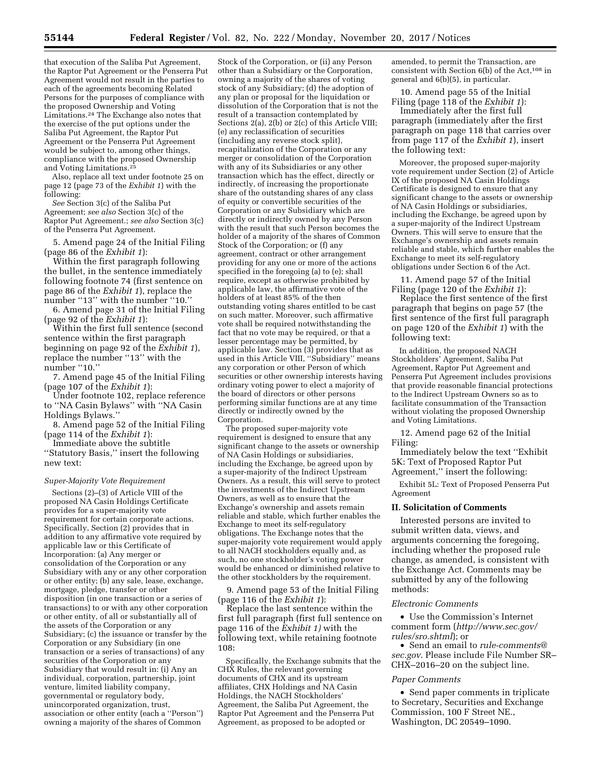that execution of the Saliba Put Agreement, the Raptor Put Agreement or the Penserra Put Agreement would not result in the parties to each of the agreements becoming Related Persons for the purposes of compliance with the proposed Ownership and Voting Limitations.24 The Exchange also notes that the exercise of the put options under the Saliba Put Agreement, the Raptor Put Agreement or the Penserra Put Agreement would be subject to, among other things, compliance with the proposed Ownership and Voting Limitations.25

Also, replace all text under footnote 25 on page 12 (page 73 of the *Exhibit 1*) with the following:

*See* Section 3(c) of the Saliba Put Agreement; *see also* Section 3(c) of the Raptor Put Agreement.; *see also* Section 3(c) of the Penserra Put Agreement.

5. Amend page 24 of the Initial Filing (page 86 of the *Exhibit 1*):

Within the first paragraph following the bullet, in the sentence immediately following footnote 74 (first sentence on page 86 of the *Exhibit 1*), replace the number "13" with the number "10."

6. Amend page 31 of the Initial Filing (page 92 of the *Exhibit 1*):

Within the first full sentence (second sentence within the first paragraph beginning on page 92 of the *Exhibit 1*), replace the number ''13'' with the number "10."

7. Amend page 45 of the Initial Filing (page 107 of the *Exhibit 1*):

Under footnote 102, replace reference to ''NA Casin Bylaws'' with ''NA Casin Holdings Bylaws.''

8. Amend page 52 of the Initial Filing (page 114 of the *Exhibit 1*):

Immediate above the subtitle ''Statutory Basis,'' insert the following new text:

### *Super-Majority Vote Requirement*

Sections (2)–(3) of Article VIII of the proposed NA Casin Holdings Certificate provides for a super-majority vote requirement for certain corporate actions. Specifically, Section (2) provides that in addition to any affirmative vote required by applicable law or this Certificate of Incorporation: (a) Any merger or consolidation of the Corporation or any Subsidiary with any or any other corporation or other entity; (b) any sale, lease, exchange, mortgage, pledge, transfer or other disposition (in one transaction or a series of transactions) to or with any other corporation or other entity, of all or substantially all of the assets of the Corporation or any Subsidiary; (c) the issuance or transfer by the Corporation or any Subsidiary (in one transaction or a series of transactions) of any securities of the Corporation or any Subsidiary that would result in: (i) Any an individual, corporation, partnership, joint venture, limited liability company, governmental or regulatory body, unincorporated organization, trust, association or other entity (each a ''Person'') owning a majority of the shares of Common

Stock of the Corporation, or (ii) any Person other than a Subsidiary or the Corporation, owning a majority of the shares of voting stock of any Subsidiary; (d) the adoption of any plan or proposal for the liquidation or dissolution of the Corporation that is not the result of a transaction contemplated by Sections 2(a), 2(b) or 2(c) of this Article VIII; (e) any reclassification of securities (including any reverse stock split), recapitalization of the Corporation or any merger or consolidation of the Corporation with any of its Subsidiaries or any other transaction which has the effect, directly or indirectly, of increasing the proportionate share of the outstanding shares of any class of equity or convertible securities of the Corporation or any Subsidiary which are directly or indirectly owned by any Person with the result that such Person becomes the holder of a majority of the shares of Common Stock of the Corporation; or (f) any agreement, contract or other arrangement providing for any one or more of the actions specified in the foregoing (a) to (e); shall require, except as otherwise prohibited by applicable law, the affirmative vote of the holders of at least 85% of the then outstanding voting shares entitled to be cast on such matter. Moreover, such affirmative vote shall be required notwithstanding the fact that no vote may be required, or that a lesser percentage may be permitted, by applicable law. Section (3) provides that as used in this Article VIII, ''Subsidiary'' means any corporation or other Person of which securities or other ownership interests having ordinary voting power to elect a majority of the board of directors or other persons performing similar functions are at any time directly or indirectly owned by the Corporation.

The proposed super-majority vote requirement is designed to ensure that any significant change to the assets or ownership of NA Casin Holdings or subsidiaries, including the Exchange, be agreed upon by a super-majority of the Indirect Upstream Owners. As a result, this will serve to protect the investments of the Indirect Upstream Owners, as well as to ensure that the Exchange's ownership and assets remain reliable and stable, which further enables the Exchange to meet its self-regulatory obligations. The Exchange notes that the super-majority vote requirement would apply to all NACH stockholders equally and, as such, no one stockholder's voting power would be enhanced or diminished relative to the other stockholders by the requirement.

9. Amend page 53 of the Initial Filing (page 116 of the *Exhibit 1*):

Replace the last sentence within the first full paragraph (first full sentence on page 116 of the *Exhibit 1)* with the following text, while retaining footnote 108:

Specifically, the Exchange submits that the CHX Rules, the relevant governing documents of CHX and its upstream affiliates, CHX Holdings and NA Casin Holdings, the NACH Stockholders' Agreement, the Saliba Put Agreement, the Raptor Put Agreement and the Penserra Put Agreement, as proposed to be adopted or

amended, to permit the Transaction, are consistent with Section 6(b) of the  $\operatorname{Act},^{108}$  in general and 6(b)(5), in particular.

10. Amend page 55 of the Initial Filing (page 118 of the *Exhibit 1*):

Immediately after the first full paragraph (immediately after the first paragraph on page 118 that carries over from page 117 of the *Exhibit 1*), insert the following text:

Moreover, the proposed super-majority vote requirement under Section (2) of Article IX of the proposed NA Casin Holdings Certificate is designed to ensure that any significant change to the assets or ownership of NA Casin Holdings or subsidiaries, including the Exchange, be agreed upon by a super-majority of the Indirect Upstream Owners. This will serve to ensure that the Exchange's ownership and assets remain reliable and stable, which further enables the Exchange to meet its self-regulatory obligations under Section 6 of the Act.

11. Amend page 57 of the Initial Filing (page 120 of the *Exhibit 1*):

Replace the first sentence of the first paragraph that begins on page 57 (the first sentence of the first full paragraph on page 120 of the *Exhibit 1*) with the following text:

In addition, the proposed NACH Stockholders' Agreement, Saliba Put Agreement, Raptor Put Agreement and Penserra Put Agreement includes provisions that provide reasonable financial protections to the Indirect Upstream Owners so as to facilitate consummation of the Transaction without violating the proposed Ownership and Voting Limitations.

12. Amend page 62 of the Initial Filing:

Immediately below the text ''Exhibit 5K: Text of Proposed Raptor Put Agreement,'' insert the following:

Exhibit 5L: Text of Proposed Penserra Put Agreement

#### **II. Solicitation of Comments**

Interested persons are invited to submit written data, views, and arguments concerning the foregoing, including whether the proposed rule change, as amended, is consistent with the Exchange Act. Comments may be submitted by any of the following methods:

## *Electronic Comments*

• Use the Commission's Internet comment form (*[http://www.sec.gov/](http://www.sec.gov/rules/sro.shtml)  [rules/sro.shtml](http://www.sec.gov/rules/sro.shtml)*); or

• Send an email to *[rule-comments@](mailto:rule-comments@sec.gov) [sec.gov](mailto:rule-comments@sec.gov)*. Please include File Number SR– CHX–2016–20 on the subject line.

#### *Paper Comments*

• Send paper comments in triplicate to Secretary, Securities and Exchange Commission, 100 F Street NE., Washington, DC 20549–1090.